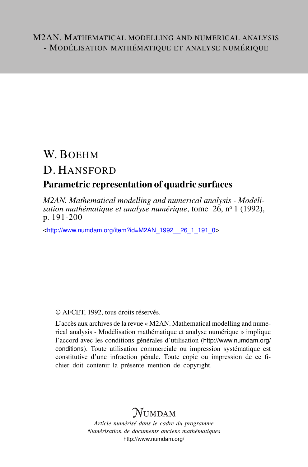# W. BOEHM D. HANSFORD

### Parametric representation of quadric surfaces

*M2AN. Mathematical modelling and numerical analysis - Modélisation mathématique et analyse numérique*, tome 26, nº 1 (1992), p. 191-200

<[http://www.numdam.org/item?id=M2AN\\_1992\\_\\_26\\_1\\_191\\_0](http://www.numdam.org/item?id=M2AN_1992__26_1_191_0)>

### © AFCET, 1992, tous droits réservés.

L'accès aux archives de la revue « M2AN. Mathematical modelling and numerical analysis - Modélisation mathématique et analyse numérique » implique l'accord avec les conditions générales d'utilisation ([http://www.numdam.org/](http://www.numdam.org/conditions) [conditions](http://www.numdam.org/conditions)). Toute utilisation commerciale ou impression systématique est constitutive d'une infraction pénale. Toute copie ou impression de ce fichier doit contenir la présente mention de copyright.

# $\mathcal{N}$ umdam

*Article numérisé dans le cadre du programme Numérisation de documents anciens mathématiques* <http://www.numdam.org/>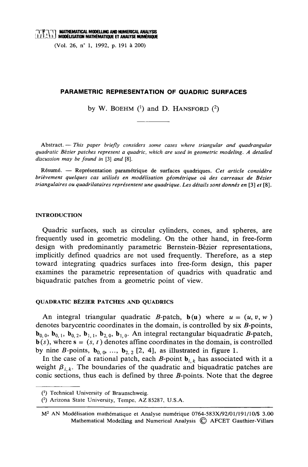## $\Gamma$  $\Gamma$  $\Gamma$  $\Gamma$  $\Gamma$  anthematical modelling and numerical analysis  $\Omega$ ,  $\Omega$ ,  $\Gamma$ ,  $\Gamma$   $\Gamma$  and  $\Gamma$  and  $\Gamma$  and  $\Gamma$  and  $\Gamma$  and  $\Gamma$  and  $\Gamma$  and  $\Gamma$  and  $\Gamma$  and  $\Gamma$  and  $\Gamma$  and  $\Gamma$  and  $\Gamma$  and  $\Gamma$  and  $\Gamma$

(Vol. 26, n° 1, 1992, p. 191 à 200)

#### **PARAMETRIC REPRESENTATION OF QUADRIC SURFACES**

by W. BOEHM  $(1)$  and D. HANSFORD  $(2)$ 

 $A$ bstract.  $-$  This paper briefly considers some cases where triangular and quadrangular quadratic Bézier patches represent a quadric, which are used in geometric modeling. A detailed discussion may be found in  $[3]$  and  $[8]$ .

Résumé. — Représentation paramétrique de surfaces quadriques. Cet article considère brièvement quelques cas utilisés en modélisation géométrique où des carreaux de Bézier triangulaires ou quadrilataires représentent une quadrique. Les détails sont donnés en [3] et [8].

#### **INTRODUCTION**

Quadric surfaces, such as circular cylinders, cones, and spheres, are frequently used in geometric modeling. On the other hand, in free-form design with predominantly parametric Bernstein-Bézier representations, implicitly defined quadrics are not used frequently. Therefore, as a step toward integrating quadrics surfaces into free-form design, this paper examines the parametric representation of quadrics with quadratic and biquadratic patches from a geometric point of view.

#### QUADRATIC BÉZIER PATCHES AND QUADRICS

An integral triangular quadratic B-patch,  $b(u)$  where  $u = (u, v, w)$ denotes barycentric coordinates in the domain, is controlled by  $\text{six } B\text{-points}$ ,  $\mathbf{b}_{0.0}$ ,  $\mathbf{b}_{0.1}$ ,  $\mathbf{b}_{0.2}$ ,  $\mathbf{b}_{1.1}$ ,  $\mathbf{b}_{2.0}$ ,  $\mathbf{b}_{1.0}$ . An integral rectangular biquadratic *B*-patch,  $\mathbf{b}(s)$ , where  $\mathbf{s} = (s, t)$  denotes affine coordinates in the domain, is controlled by nine B-points,  $\mathbf{b}_{0.0}$ , ...,  $\mathbf{b}_{2.2}$  [2, 4], as illustrated in figure 1.

In the case of a rational patch, each B-point  $\mathbf{b}_{i,k}$  has associated with it a weight  $\beta_{i,k}$ . The boundaries of the quadratic and biquadratic patches are conic sections, thus each is defined by three  $B$ -points. Note that the degree

<sup>(1)</sup> Technical University of Braunschweig.

<sup>(2)</sup> Arizona State University, Tempe, AZ 85287, U.S.A.

M<sup>2</sup> AN Modélisation mathématique et Analyse numérique 0764-583X/92/01/191/10/\$ 3.00 Mathematical Modelling and Numerical Analysis © AFCET Gauthier-Villars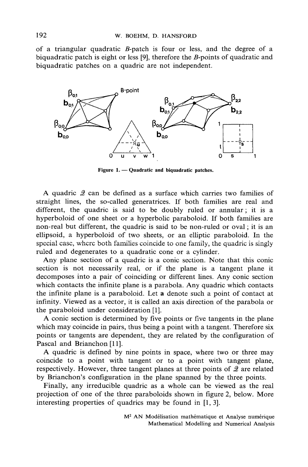of a triangular quadratic  $B$ -patch is four or less, and the degree of a biquadratic patch is eight or less [9], therefore the  $B$ -points of quadratic and biquadratic patches on a quadric are not independent.



Figure 1. - Quadratic and biquadratic patches.

A quadric  $\mathcal{Q}$  can be defined as a surface which carries two families of straight lines, the so-called generatrices. If both families are real and different, the quadric is said to be doubly ruled or annular; it is a hyperboloid of one sheet or a hyperbolic paraboloid. If both families are non-real but different, the quadric is said to be non-ruled or oval; it is an ellipsoid, a hyperboloid of two sheets, or an elliptic paraboloid. In the special case, where both families coincide to one family, the quadric is singly ruled and degenerates to a quadratic cone or a cylinder.

Any plane section of a quadric is a conic section. Note that this conic section is not necessarily real, or if the plane is a tangent plane it decomposes into a pair of coinciding or different lines. Any conic section which contacts the infinite plane is a parabola. Any quadric which contacts the infinite plane is a paraboloid. Let a denote such a point of contact at infinity. Viewed as a vector, it is called an axis direction of the parabola or the paraboloid under consideration [1].

A conic section is determined by five points or five tangents in the plane which may coincide in pairs, thus being a point with a tangent. Therefore six points or tangents are dependent, they are related by the configuration of Pascal and Brianchon [11].

A quadric is defined by nine points in space, where two or three may coincide to a point with tangent or to a point with tangent plane, respectively. However, three tangent planes at three points of 2 are related by Brianchon's configuration in the plane spanned by the three points.

Finally, any irreducible quadric as a whole can be viewed as the real projection of one of the three paraboloids shown in figure 2, below. More interesting properties of quadrics may be found in [1, 3].

M<sup>2</sup> AN Modélisation mathématique et Analyse numérique Mathematical Modelling and Numerical Analysis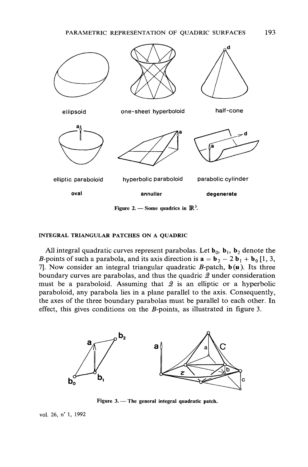

Figure 2. — Some quadrics in  $\mathbb{R}^3$ .

#### **INTEGRAL TRIANGULAR PATCHES ON A OUADRIC**

All integral quadratic curves represent parabolas. Let  $\mathbf{b}_0$ ,  $\mathbf{b}_1$ ,  $\mathbf{b}_2$  denote the B-points of such a parabola, and its axis direction is  $\mathbf{a} = \mathbf{b}_2 - 2 \mathbf{b}_1 + \mathbf{b}_0$  [1, 3, 7. Now consider an integral triangular quadratic  $B$ -patch,  $b(u)$ . Its three boundary curves are parabolas, and thus the quadric  $Q$  under consideration must be a paraboloid. Assuming that  $\mathcal Q$  is an elliptic or a hyperbolic paraboloid, any parabola lies in a plane parallel to the axis. Consequently, the axes of the three boundary parabolas must be parallel to each other. In effect, this gives conditions on the  $B$ -points, as illustrated in figure 3.



Figure 3. - The general integral quadratic patch.

vol. 26, n° 1, 1992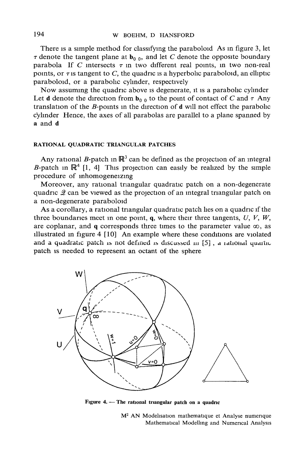There is a simple method for classifying the paraboloid As in figure 3, let  $\tau$  denote the tangent plane at  $\mathbf{b}_{0,0}$ , and let C denote the opposite boundary parabola If C intersects  $\tau$  in two different real points, in two non-real points, or  $\tau$  is tangent to C, the quadric is a hyperbolic paraboloid, an elliptic paraboloid, or a parabolic cylinder, respectively

Now assuming the quadric above is degenerate, it is a parabolic cylinder Let **d** denote the direction from  $\mathbf{b}_{0,0}$  to the point of contact of C and  $\tau$  Any translation of the  $B$ -points in the direction of  $d$  will not effect the parabolic cylinder Hence, the axes of all parabolas are parallel to a plane spanned by a and d

#### RATIONAL QUADRATIC TRIANGULAR PATCHES

Any rational B-patch in  $\mathbb{R}^3$  can be defined as the projection of an integral B-patch in  $\mathbb{R}^4$  [1, 4] This projection can easily be realized by the simple procedure of inhomogeneizing

Moreover, any rational triangular quadratic patch on a non-degenerate quadric  $\mathcal{Q}$  can be viewed as the projection of an integral triangular patch on a non-degenerate paraboloid

As a corollary, a rational triangular quadratic patch lies on a quadric if the three boundaries meet in one point, q, where their three tangents,  $U, V, W$ , are coplanar, and q corresponds three times to the parameter value  $\infty$ , as illustrated in figure  $4 \mid 10$  An example where these conditions are violated and a quadratic patch is not defined is discussed in [5], a rational quartic patch is needed to represent an octant of the sphere



Figure 4. - The rational triangular patch on a quadric

M<sup>2</sup> AN Modelisation mathematique et Analyse numerique Mathematical Modelling and Numerical Analysis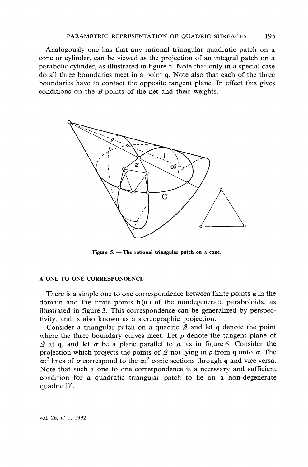Analogously one has that any rational triangular quadratic patch on a cone or cylinder, can be viewed as the projection of an integral patch on a parabolic cylinder, as illustrated in figure 5. Note that only in a special case do all three boundaries meet in a point q. Note also that each of the three boundaries have to contact the opposite tangent plane. In effect this gives conditions on the  $B$ -points of the net and their weights.



Figure  $5.$  – The rational triangular patch on a cone.

#### A ONE TO ONE CORRESPONDENCE

There is a simple one to one correspondence between finite points  $\bf{u}$  in the domain and the finite points  $b(u)$  of the nondegenerate paraboloids, as illustrated in figure 3. This correspondence can be generalized by perspectivity, and is also known as a stereographic projection.

Consider a triangular patch on a quadric  $\mathcal{Q}$  and let q denote the point where the three boundary curves meet. Let  $\rho$  denote the tangent plane of 2 at q, and let  $\sigma$  be a plane parallel to  $\rho$ , as in figure 6. Consider the projection which projects the points of 2 not lying in  $\rho$  from q onto  $\sigma$ . The  $\infty^2$  lines of  $\sigma$  correspond to the  $\infty^2$  conic sections through q and vice versa. Note that such a one to one correspondence is a necessary and sufficient condition for a quadratic triangular patch to lie on a non-degenerate quadric [9].

vol. 26, n° 1, 1992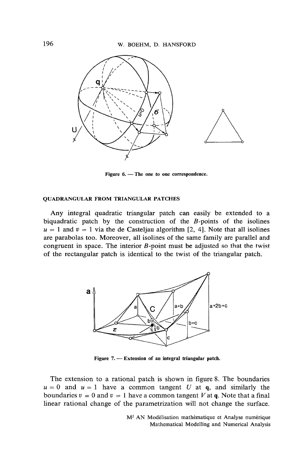

Figure 6. - The one to one correspondence.

#### **QUADRANGULAR FROM TRIANGULAR PATCHES**

Any integral quadratic triangular patch can easily be extended to a biquadratic patch by the construction of the  $B$ -points of the isolines  $u = 1$  and  $v = 1$  via the de Casteljau algorithm [2, 4]. Note that all isolines are parabolas too. Moreover, all isolines of the same family are parallel and congruent in space. The interior B-point must be adjusted so that the twist of the rectangular patch is identical to the twist of the triangular patch.



Figure 7. — Extension of an integral triangular patch.

The extension to a rational patch is shown in figure 8. The boundaries  $u = 0$  and  $u = 1$  have a common tangent U at q, and similarly the boundaries  $v = 0$  and  $v = 1$  have a common tangent V at q. Note that a final linear rational change of the parametrization will not change the surface.

> M<sup>2</sup> AN Modélisation mathématique et Analyse numérique Mathematical Modelling and Numerical Analysis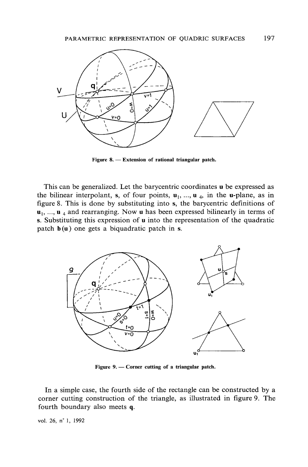

Figure 8. - Extension of rational triangular patch.

This can be generalized. Let the barycentric coordinates u be expressed as the bilinear interpolant, s, of four points,  $\mathbf{u}_1$ , ...,  $\mathbf{u}_4$ , in the u-plane, as in figure 8. This is done by substituting into s, the barycentric definitions of  $\mathbf{u}_1$ , ...,  $\mathbf{u}_4$  and rearranging. Now **u** has been expressed bilinearly in terms of s. Substituting this expression of u into the representation of the quadratic patch  $b(u)$  one gets a biquadratic patch in s.



Figure 9. - Corner cutting of a triangular patch.

In a simple case, the fourth side of the rectangle can be constructed by a corner cutting construction of the triangle, as illustrated in figure 9. The fourth boundary also meets q.

vol. 26, nº 1, 1992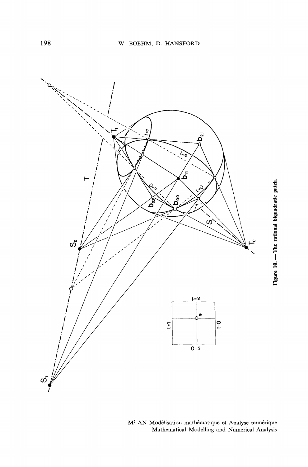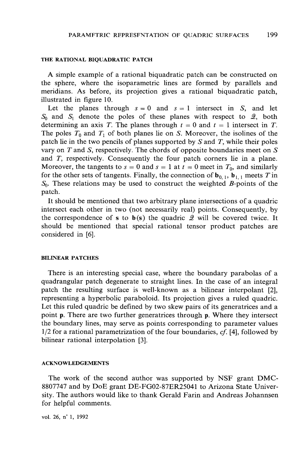#### THE RATIONAL BIOUADRATIC PATCH

A simple example of a rational biquadratic patch can be constructed on the sphere, where the isoparametric lines are formed by parallels and meridians. As before, its projection gives a rational biquadratic patch, illustrated in figure 10.

Let the planes through  $s = 0$  and  $s = 1$  intersect in S, and let  $S_0$  and  $S_1$  denote the poles of these planes with respect to 2, both determining an axis T. The planes through  $t = 0$  and  $t = 1$  intersect in T. The poles  $T_0$  and  $T_1$  of both planes lie on S. Moreover, the isolines of the patch lie in the two pencils of planes supported by  $S$  and  $T$ , while their poles vary on  $T$  and  $S$ , respectively. The chords of opposite boundaries meet on  $S$ and  $T$ , respectively. Consequently the four patch corners lie in a plane. Moreover, the tangents to  $s = 0$  and  $s = 1$  at  $t = 0$  meet in  $T_0$ , and similarly for the other sets of tangents. Finally, the connection of  $\mathbf{b}_{0,1}$ ,  $\mathbf{b}_{1,1}$  meets T in  $S_0$ . These relations may be used to construct the weighted *B*-points of the patch.

It should be mentioned that two arbitrary plane intersections of a quadric intersect each other in two (not necessarily real) points. Consequently, by the correspondence of s to  $b(s)$  the quadric  $\mathcal{Q}$  will be covered twice. It should be mentioned that special rational tensor product patches are considered in [6].

### **BILINEAR PATCHES**

There is an interesting special case, where the boundary parabolas of a quadrangular patch degenerate to straight lines. In the case of an integral patch the resulting surface is well-known as a bilinear interpolant [2], representing a hyperbolic paraboloid. Its projection gives a ruled quadric. Let this ruled quadric be defined by two skew pairs of its generatrices and a point p. There are two further generatrices through p. Where they intersect the boundary lines, may serve as points corresponding to parameter values  $1/2$  for a rational parametrization of the four boundaries, cf. [4], followed by bilinear rational interpolation [3].

#### **ACKNOWLEDGEMENTS**

The work of the second author was supported by NSF grant DMC-8807747 and by DoE grant DE-FG02-87ER25041 to Arizona State University. The authors would like to thank Gerald Farin and Andreas Johannsen for helpful comments.

vol. 26, n° 1, 1992